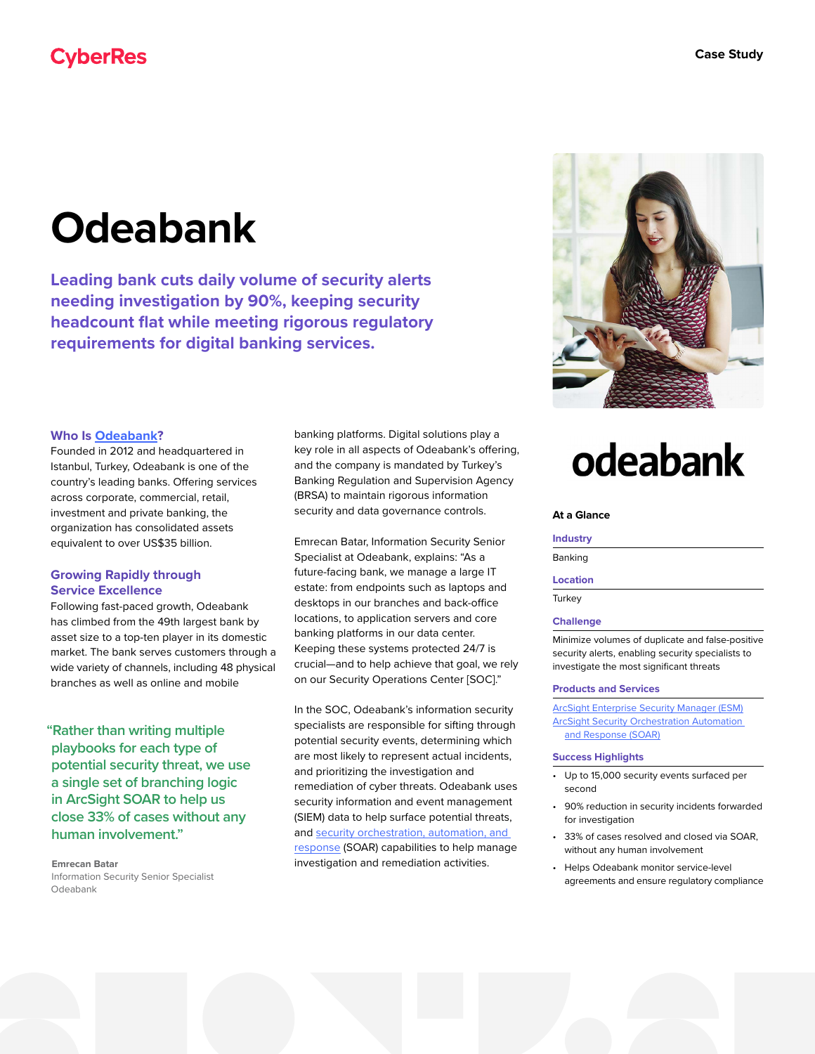## **Odeabank**

**Leading bank cuts daily volume of security alerts needing investigation by 90%, keeping security headcount flat while meeting rigorous regulatory requirements for digital banking services.**

#### **Who Is [Odeabank](https://www.odeabank.com.tr)?**

Founded in 2012 and headquartered in Istanbul, Turkey, Odeabank is one of the country's leading banks. Offering services across corporate, commercial, retail, investment and private banking, the organization has consolidated assets equivalent to over US\$35 billion.

#### **Growing Rapidly through Service Excellence**

Following fast-paced growth, Odeabank has climbed from the 49th largest bank by asset size to a top-ten player in its domestic market. The bank serves customers through a wide variety of channels, including 48 physical branches as well as online and mobile

**"Rather than writing multiple playbooks for each type of potential security threat, we use a single set of branching logic in ArcSight SOAR to help us close 33% of cases without any human involvement."**

#### **Emrecan Batar**

Information Security Senior Specialist Odeabank

banking platforms. Digital solutions play a key role in all aspects of Odeabank's offering, and the company is mandated by Turkey's Banking Regulation and Supervision Agency (BRSA) to maintain rigorous information security and data governance controls.

Emrecan Batar, Information Security Senior Specialist at Odeabank, explains: "As a future-facing bank, we manage a large IT estate: from endpoints such as laptops and desktops in our branches and back-office locations, to application servers and core banking platforms in our data center. Keeping these systems protected 24/7 is crucial—and to help achieve that goal, we rely on our Security Operations Center [SOC]."

In the SOC, Odeabank's information security specialists are responsible for sifting through potential security events, determining which are most likely to represent actual incidents, and prioritizing the investigation and remediation of cyber threats. Odeabank uses security information and event management (SIEM) data to help surface potential threats, and [security orchestration, automation, and](https://www.microfocus.com/en-us/cyberres/secops/arcsight-soar)  [response](https://www.microfocus.com/en-us/cyberres/secops/arcsight-soar) (SOAR) capabilities to help manage investigation and remediation activities.

# odeabank

#### **At a Glance**

#### **Industry**

Banking

#### **Location**

**Turkey** 

#### **Challenge**

Minimize volumes of duplicate and false-positive security alerts, enabling security specialists to investigate the most significant threats

#### **Products and Services**

**[ArcSight Enterprise Security Manager \(ESM\)](https://www.microfocus.com/en-us/cyberres/secops/arcsight-esm)** [ArcSight Security Orchestration Automation](https://www.microfocus.com/en-us/cyberres/secops/arcsight-soar)  [and Response \(SOAR\)](https://www.microfocus.com/en-us/cyberres/secops/arcsight-soar)

#### **Success Highlights**

- Up to 15,000 security events surfaced per second
- 90% reduction in security incidents forwarded for investigation
- 33% of cases resolved and closed via SOAR, without any human involvement
- Helps Odeabank monitor service-level agreements and ensure regulatory compliance